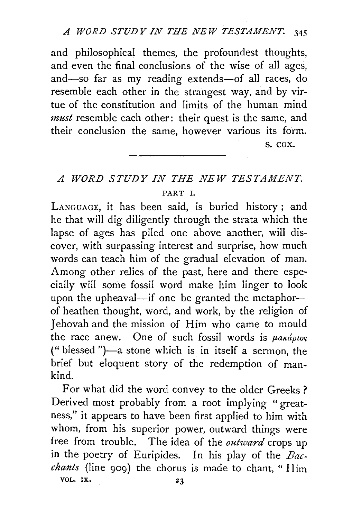and philosophical themes, the profoundest thoughts, and even the final conclusions of the wise of all ages, and-so far as my reading extends-of all races, do resemble each other in the strangest way, and by virtue of the constitution and limits of the human mind *must* resemble each other: their quest is the same, and their conclusion the same, however various its form.

s. cox.

## *A WORD STUDY IN THE NEW TESTAMENT.*  PART I.

LANGUAGE, it has been said, is buried history ; and he that will dig diligently through the strata which the lapse of ages has piled one above another, will discover, with surpassing interest and surprise, how much words can teach him of the gradual elevation of man. Among other relics of the past, here and there especially will some fossil word make him linger to look upon the upheaval-if one be granted the metaphorof heathen thought, word, and work, by the religion of Jehovah and the mission of Him who came to mould the race anew. One of such fossil words is  $\mu$ akápios ("blessed ")-a stone which is in itself a sermon, the brief but eloquent story of the redemption of mankind.

For what did the word convey to the older Greeks? Derived most probably from a root implying "greatness," it appears to have been first applied to him with whom, from his superior power, outward things were free from trouble. The idea of the *outward* crops up in the poetry of Euripides. In his play of the *Bacchants* (line 909) the chorus is made to chant, " Him VOL. IX, 23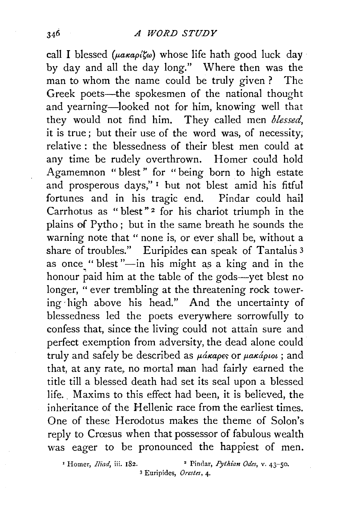call I blessed ( $\mu$ a $\kappa$ a $\rho$ i $\zeta$ a) whose life hath good luck day· by day and all the day long." Where then was the man to whom the name could be truly given ? The Greek poets-the spokesmen of the national thought and yearning-looked not for him, knowing well that they would not find him. They called men *blessed,*  it is true; but their use of the word was, of necessity; relative : the blessedness of their blest men could at any time be rudely overthrown. Homer could hold Agamemnon " blest " for " being born to high estate and prosperous days," 1 hut not blest amid his fitful fortunes and in his tragic end. Pindar could hail Carrhotus as " blest"<sup>2</sup> for his chariot triumph in the plains of Pytho ; but in the same breath he sounds the warning note that " none is, or ever shall be, without a share of troubles." Euripides can speak of Tantalus 3 as once "blest"-in his might as a king and in the honour paid him at the table of the gods-yet blest no longer, " ever trembling at the threatening rock towering· high above his head." And the uncertainty of blessedness led the poets everywhere sorrowfully to confess that, since the living could not attain sure and perfect exemption from adversity, the dead alone could truly and safely be described as  $\mu$ *akapes* or  $\mu$ *akaptot* ; and that, at any rate, no mortal man had fairly earned the title till a blessed death had set its seal upon a blessed life. Maxims to this effect had been, it is believed, the inheritance of the Hellenic race from the earliest times. One of these Herodotus makes the theme of Solon's reply to Crœsus when that possessor of fabulous wealth was eager to be pronounced the happiest of men.

<sup>&#</sup>x27; Homer, *Iliad,* iii. 182. • Pindar, *Pythian Odes,* v. 43-50. 3 Euripides, *Orestes,* 4·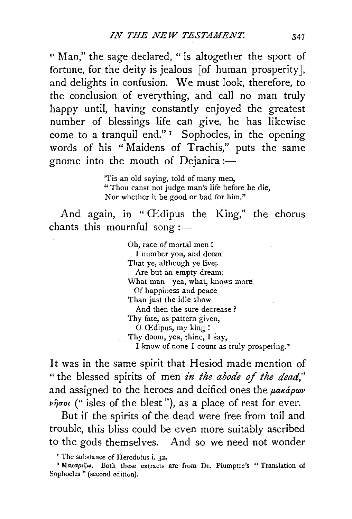" Man," the sage declared, " is altogether the sport of fortune, for the deity is jealous [of human prosperity], and delights in confusion. We must look, therefore, to the conclusion of everything, and call no man truly happy until, having constantly enjoyed the greatest number of blessings life can give, he has likewise come to a tranquil end." 1 Sophocles, in the opening words of his "Maidens of Trachis," puts the same gnome into the mouth of Dejanira :-

> 'Tis an old saying, told of many men, " Thou canst not judge man's life before he die, Nor whether it be good or bad for him."

And again, in " Œdipus the King," the chorus chants this mournful song :-

> Oh, race of mortal men ! I number you, and deem That ye, although ye live; Are but an empty dream: \Vhat man-yea, what, knows more Of happiness and peace Than just the idle show And then the sure decrease ? Thy fate, as pattern given, 0 CEdipus, my king ! Thy doom, yea, thine, I say, I know of none I count as truly prospering. •

It was in the same spirit that Hesiod made mention of " the blessed spirits of men *in the abode of the dead,"*  and assigned to the heroes and deified ones the  $\mu$ akápov *vijuot* (" isles of the blest"), as a place of rest for ever.

But if the spirits of the dead were free from toil and trouble, this bliss could be even more suitably ascribed to the gods themselves. And so we need not wonder

<sup>&#</sup>x27; The substance of Herodotus i. 32.

<sup>&</sup>lt;sup>2</sup> Μακαριζω. Both these extracts are from Dr. Plumptre's " Translation of Sophocles " (second edition).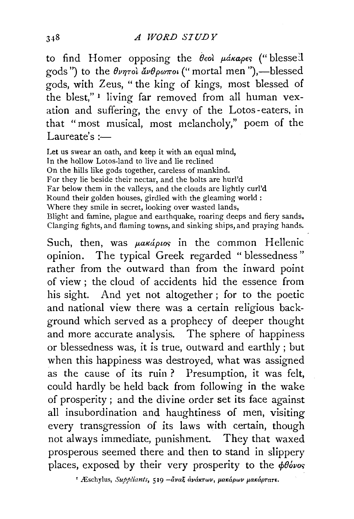to find Homer opposing the θεοί μάκαρες ("blessed gods") to the θνητοί άνθρωποι ("mortal men"),—blessed gods, with Zeus, " the king of kings, most blessed of the blest," 1 living far removed from all human vexation and suffering, the envy of the Lotos- eaters, in that "most musical, most melancholy," poem of the Laureate's  $:=$ 

Let us swear an oath, and keep it with an equal mind, In the hollow Lotos-land to live and lie reclined On the hills like gods together, careless of mankind. For they lie beside their nectar, and the bolts are hurl'd Far below them in the valleys, and the clouds are lightly curl'd Round their golden houses, girdled with the gleaming world : Where they smile in secret, looking over wasted lands, Blight and famine, plague and earthquake, roaring deeps and fiery sands, Clanging fights, and flaming towns, and sinking ships, and praying hands.

Such, then, was  $\mu$ akápios in the common Hellenic opinion. The typical Greek regarded " blessedness" rather from the outward than from the inward point of view ; the cloud of accidents hid the essence from his sight. And yet not altogether ; for to the poetic and national view there was a certain religious background which served as a prophecy of deeper thought and more accurate analysis. The sphere of happiness or blessedness was, it is true, outward and earthly; but when this happiness was destroyed, what was assigned as the cause of its ruin ? Presumption, it was felt, could hardly be held back from following in the wake of prosperity; and the divine order set its face against all insubordination and haughtiness of men, visiting every transgression of its laws with certain, though not always immediate, punishment. They that waxed prosperous seemed there and then to stand in slippery places, exposed by their very prosperity to the  $\phi\theta\acute{o}\nu$ os

<sup>1</sup> Æschylus, *Suppliants*, 519 - άναξ ανάκτων, μακάρων μακάρτατε.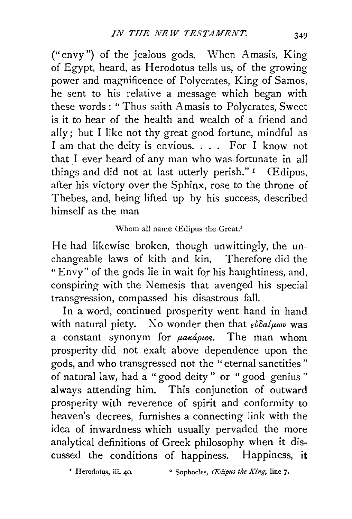("envy") of the jealous gods. When Amasis, King of Egypt, heard, as Herodotus tells us, of the growing power and magnificence of Polycrates, King of Samos, he sent to his relative a message which began with these words : " Thus saith Amasis to Polycrates, Sweet is it to hear of the health and wealth of a friend and ally; but I like not thy great good fortune, mindful as I am that the deity is envious. . . . For I know not that I ever heard of any man who was fortunate in all things and did not at last utterly perish." $I$  CE dipus, after his victory over the Sphinx, rose to the throne of Thebes, and, being lifted up by his success, described himself as the man

## Whom all name Œdipus the Great.<sup>2</sup>

He had likewise broken, though unwittingly, the unchangeable laws of kith and kin. Therefore did the "Envy" of the gods lie in wait for his haughtiness, and, conspiring with the Nemesis that avenged his special transgression, compassed his disastrous fall.

In a word, continued prosperity went hand in hand with natural piety. No wonder then that  $\epsilon \omega \delta a/\mu \omega \nu$  was a constant synonym for  $\mu$ aká $\rho$ ios. The man whom prosperity did not exalt above dependence upon the gods, and who transgressed not the "eternal sanctities" of natural law, had a " good deity " or " good genius " always attending him. This conjunction of outward prosperity with reverence of spirit and conformity to heaven's decrees, furnishes a connecting link with the idea of inwardness which usually pervaded the more analytical definitions of Greek philosophy when it discussed the conditions of happiness. Happiness, it

<sup>*•*</sup> Herodotus, iii. 40. <sup>•</sup> Sophocles, *Œdipus the King*, line 7.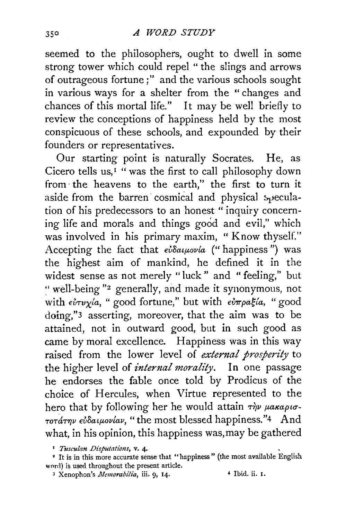seemed to the philosophers, ought to dwell in some strong tower which could repel " the slings and arrows of outrageous fortune;" and the various schools sought in various ways for a shelter from the " changes and chances of this mortal life." It may be well briefly to review the conceptions of happiness held by the most conspicuous of these schools, and expounded by their founders or representatives.

Our starting point is naturally Socrates. He, as Cicero tells us,<sup> $I$ </sup> " was the first to call philosophy down from· the heavens to the earth," the first to turn it aside from the barren cosmical and physical  $s$  $p$ eculation of his predecessors to an honest " inquiry concerning life and morals and things good and evil," which was involved in his primary maxim, "Know thyself." Accepting the fact that *εὐδαιμονία* (" happiness") was the highest aim of mankind, he defined it in the widest sense as not merely "luck" and "feeling," but :· well-being "2 generally, and made it synonymous, not with *εὐτυγία*, " good fortune," but with *εὐπραξία*, " good doing,"3 asserting, moreover, that the aim was to be attained, not in outward good, but in such good as came by moral excellence. Happiness was in this way raised from the lower level of *external prosperity* to the higher level of *internal morality.* In one passage he endorses the fable once told by Prodicus of the choice of Hercules, when Virtue represented to the hero that by following her he would attain  $\tau \dot{\gamma}$ <sup>*v*</sup>  $\mu$ *akapio*-*TOTάτην εὐδαιμονίαν*, "the most blessed happiness."4 And what, in his opinion, this happiness was, may be gathered

3 Xenophon's *Memorabilia*, iii. 9, 14. 4 Ibid. ii. 1.

<sup>&</sup>lt;sup>1</sup> *Tusculan Disputations*, v. 4.<br><sup>2</sup> It is in this more accurate sense that "happiness" (the most available English word) is used throughout the present article.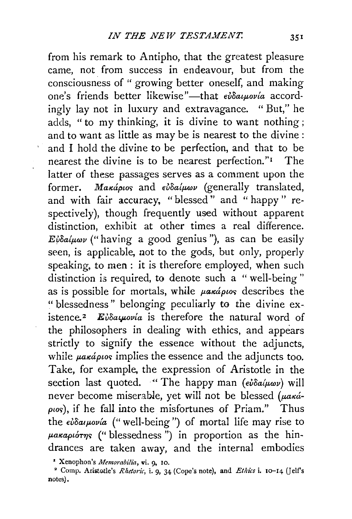from his remark to Antipho, that the greatest pleasure came, not from success in endeavour, but from the consciousness of " growing better oneself, and making one's friends better likewise"—that *εὐδαιμονία* accordingly lay not in luxury and extravagance. " But," he adds, "to my thinking, it is divine to want nothing; and to want as little as may be is nearest to the divine : and I hold the divine to be perfection, and that to be nearest the divine is to be nearest perfection."<sup>1</sup> The latter of these passages serves as a comment upon the former. *Makápios* and *eudalwav* (generally translated, and with fair accuracy, "blessed" and "happy" respectively), though frequently used without apparent distinction, exhibit at other times a real difference.  $E\psi\delta a/\mu\omega\nu$  ("having a good genius"), as can be easily seen, is applicable, not to the gods, but only, properly speaking, to men : it is therefore employed, when such distinction is required, to denote such a "well-being" as is possible for mortals, while *parápios* describes the "blessedness" belonging peculiarly to the divine existence.<sup>2</sup> Eiδaywovia is therefore the natural word of the philosophers in dealing with ethics, and appears strictly to signify the essence without the adjuncts, while  $\mu$ a $\kappa$ *á* $\mu$ os implies the essence and the adjuncts too. Take, for example, the expression of Aristotle in the section last quoted. "The happy man  $(\epsilon \omega \delta a/\mu \omega \nu)$  will never become miserable, yet will not be blessed *(paká-* $\rho$ *ios*), if he fall into the misfortunes of Priam." Thus the *εύδαιμονία* ("well-being") of mortal life may rise to  $\mu$ akapiórns ("blessedness") in proportion as the hindrances are taken away, and the internal embodies

<sup>•</sup> Xenophon's *Memombilia,* vi. 9. 10.

<sup>&</sup>lt;sup>2</sup> Comp. Aristotle's *Rhetoric*, i. 9, 34 (Cope's note), and *Ethics* i. 10-14 (Jelf's notes).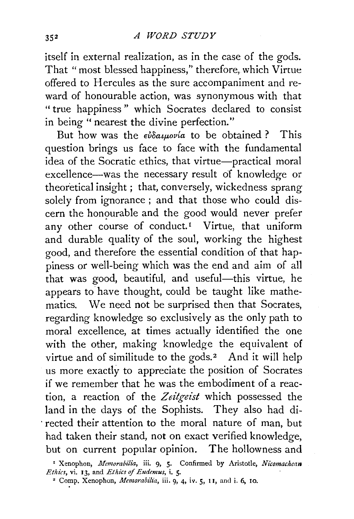itself in external realization, as in the case of the gods. That "most blessed happiness," therefore, which Virtue offered to Hercules as the sure accompaniment and reward of honourable action, was synonymous with that " true happiness " which Socrates declared to consist in being " nearest the divine perfection."

But how was the  $\epsilon \omega \delta a \mu \omega \nu a$  to be obtained ? This question brings us face to face with the fundamental idea of the Socratic ethics, that virtue-practical moral excellence-was the necessary result ot knowledge or theoretical insight ; that, conversely, wickedness sprang solely from ignorance ; and that those who could discern the honourable and the good would never prefer any other course of conduct.<sup>1</sup> Virtue, that uniform and durable quality of the soul, working the highest good, and therefore the essential condition of that happiness or well-being which was the end and aim of all that was good, beautiful, and useful-this virtue, he appears to have thought, could be taught like mathematics. We need not be surprised then that Socrates, regarding knowledge so exclusively as the only path to moral excellence, at times actually identified the one with the other, making knowledge the equivalent of virtue and of similitude to the gods.<sup>2</sup> And it will help us more exactly to appreciate the position of Socrates if we remember that he was the embodiment of a reaction, a reaction of the *Zeitgeist* which possessed the land in the days of the Sophists. They also had di- . rected their attention to the moral nature of man, but had taken their stand, not on exact verified knowledge, but on current popular opinion. The hollowness and

' Xenophon, *Memorabilia,* iii. 9, 5· Confirmed by Aristotle, *Nicomachean Ethics,* vi. 13, and *Ethics of Eudemus,* i. 5· 2 Comp. Xenophon, *Memorabilia,* iii. 9, 4, iv. 5, 11, and i. 6, 10.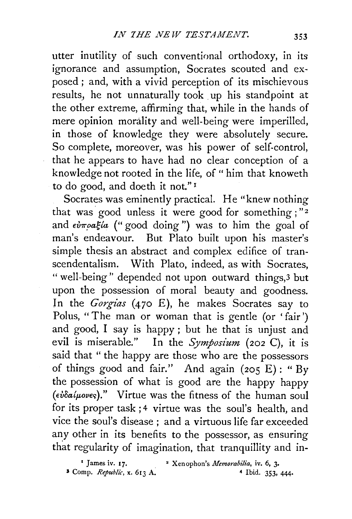utter inutility of such conventional orthodoxy, in its ignorance and assumption, Socrates scouted and exposed ; and, with a vivid perception of its mischievous results, he not unnaturally took up his standpoint at the other extreme, affirming that, while in the hands of mere opinion morality and well-being were imperilled, in those of knowledge they were absolutely secure. So complete, moreover, was his power of self-control, that he appears to have had no clear conception of a knowledge not rooted in the life, of " him that knoweth to do good, and doeth it not." <sup>1</sup>

Socrates was eminently practical. He "knew nothing that was good unless it were good for something ; "2 and  $\epsilon \nu \pi \rho a \xi / a$  ("good doing") was to him the goal of man's endeavour. But Plato built upon his master's simple thesis an abstract and complex edifice of transcendentalism. With Plato, indeed, as with Socrates, " well-being'' depended not upon outward things,3 but upon the possession of moral beauty and goodness. In the *Gorgias* (470 E), he makes Socrates say to Polus, "The man or woman that is gentle (or 'fair') and good, I say is happy; but he that is unjust and evil is miserable." In the *Symposium* (202 C), it is said that "the happy are those who are the possessors of things good and fair." And again (205 E): "By the possession of what is good are the happy happy *(d/oait-wv€r;)."* Virtue was the fitness of the human soul for its proper task; 4 virtue was the soul's health, and vice the soul's disease; and a virtuous life far exceeded any other in its benefits to the possessor, as ensuring that regularity of imagination, that tranquillity and in-

<sup>&</sup>lt;sup>1</sup> James iv. 17. <sup>2</sup> Xenophon's *Memorabilia*, iv. 6, 3. <sup>3</sup> Comp. *Republic*, **x.** 613 A. <sup>4</sup> Ibid. 353, 444.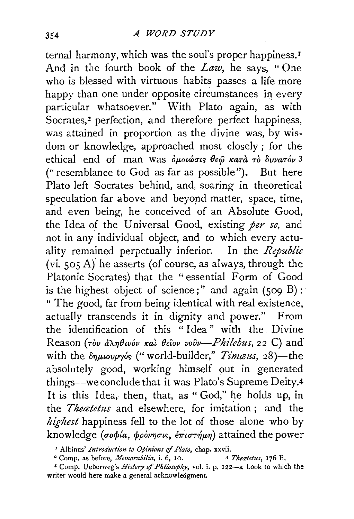ternal harmony, which was the soul's proper happiness.<sup>1</sup> And in the fourth book of the *Law,* he says, "One who is blessed with virtuous habits passes a life more happy than one under opposite circumstances in every particular whatsoever." With Plato again, as with Socrates,<sup>2</sup> perfection, and therefore perfect happiness, was attained in proportion as the divine was, by wisdom or knowledge, approached most closely; for the ethical end of man was *δμοιώσις θεώ κατ*ά τὸ δυνατόν 3 ("resemblance to God as far as possible"). But here Plato left Socrates behind, and, soaring in theoretical speculation far above and beyond matter, space, time, and even being, he conceived of an Absolute Good, the Idea of the Universal Good, existing *per se,* and not in any individual object, and to which every actuality remained perpetually inferior. In the *Republic*  (vi. *505* A)' he asserts (of course, as always, through the Platonic Socrates) that the "essential Form of Good is the highest object of science;" and again  $(509 B)$ : " The good, far from being identical with real existence, actually transcends it in dignity and power." From the identification of this "Idea" with the Divine Reason *(rov d* $\lambda \eta \theta$ *wov kal*  $\theta$ *ciov vovv--Philebus, 22 C)* and with the  $\delta\eta\mu\omega\rho\gamma\delta s$  ("world-builder," *Timaus*, 28)—the absolutely good, working himself out in generated things-we conclude that it was Plato's Supreme Deity.4 It is this Idea, then, that, as " God," he holds up, in the *Thecetetus* and elsewhere, for imitation; and the *highest* happiness fell to the lot of those alone who by knowledge *(σοφία, φρόνησις, έπιστήμη*) attained the power

<sup>&#</sup>x27; Albinus' *Introduction to Opinions of Plato,* chap. xxvii. <sup>2</sup> Comp. as before, *Memorabilia*, *i. 6*, 10.

<sup>•</sup> Comp. Ueberweg's *History of Philosophy,* vol. i. p. 122-a book to which the writer would here make a general acknowledgment.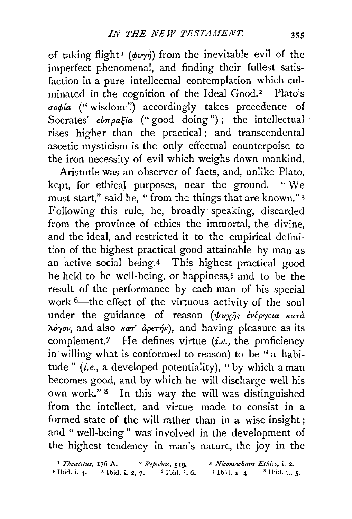of taking flight<sup>1</sup> ( $\phi \nu \gamma \gamma$ ) from the inevitable evil of the imperfect phenomenal, and finding their fullest satisfaction in a pure intellectual contemplation which culminated in the cognition of the Ideal Good.<sup>2</sup> Plato's  $\sigma$ o $\phi$ ia ("wisdom") accordingly takes precedence of Socrates'  $\epsilon \nu \pi \rho a \xi / a'$  ("good doing"); the intellectual rises higher than the practical; and transcendental ascetic mysticism is the only effectual counterpoise to the iron necessity of evil which weighs down mankind.

Aristotle was an observer of facts, and, unlike Plato, kept, for ethical purposes, near the ground. " We must start," said he, " from the things that are known." 3 Following this rule, he, broadly· speaking, discarded from the province of ethics the immortal, the divine, and the ideal, and restricted it to the empirical definition of the highest practical good attainable by man as an active social being.4 This highest practical good he held to be well-being, or happiness,<sup>5</sup> and to be the result of the performance by each man of his special work <sup>6</sup>-the effect of the virtuous activity of the soul under the guidance of reason  $(\psi v \chi \hat{\eta})^2$   $\psi \psi \gamma \hat{\psi}$  $\lambda \dot{\phi}$ yov, and also  $\kappa a\tau'$  *aperiv*), and having pleasure as its complement.7 He defines virtue *(i.e.,* the proficiency in willing what is conformed to reason) to be " a habitude" *(i.e.*, a developed potentiality), "by which a man becomes good, and by which he will discharge well his own work." 8 In this way the will was distinguished from the intellect, and virtue made to consist in a formed state of the will rather than in a wise insight ; and " well-being" was involved in the development of the highest tendency in man's nature, the joy in the

| <sup>1</sup> Theatetus, 176 A. |                    | <sup>2</sup> Republic, 519. | <sup>3</sup> Nicomachean Ethics, i. 2. |                   |
|--------------------------------|--------------------|-----------------------------|----------------------------------------|-------------------|
| $*$ Ibid. i. 4.                | $5$ Ibid. i. 2, 7. | $^{\circ}$ Ibid. i. 6.      | $7$ Ibid. x 4.                         | $^8$ Ibid. ii. 5. |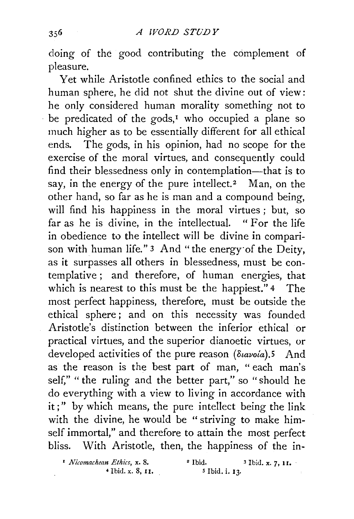doing of the good contributing the complement of pleasure.

Yet while Aristotle confined ethics to the social and human sphere, he did not shut the divine out of view: he only considered human morality something not to be predicated of the gods,<sup> $I$ </sup> who occupied a plane so much higher as to be essentially different for all ethical ends. The gods, in his opinion, had no scope for the exercise of the moral virtues, and consequently could find their blessedness only in contemplation-that is to say, in the energy of the pure intellect.<sup>2</sup> Man, on the other hand, so far as he is man and a compound being, will find his happiness in the moral virtues ; but, so far as he is divine, in the intellectual. " For the life in obedience to the intellect will be divine in comparison with human life." 3 And "the energy· of the Deity, as it surpasses all others in blessedness, must be contemplative; and therefore, of human energies, that which is nearest to this must be the happiest." 4 The most perfect happiness, therefore, must be outside the ethical sphere; and on this necessity was founded Aristotle's distinction between the inferior ethical or practical virtues, and the superior dianoetic virtues, or developed activities of the pure reason *(διανοία)*.5 And as the reason is the best part of man, " each man's self," " the ruling and the better part," so "should he do everything with a view to living in accordance with it;" by which means, the pure intellect being the link with the divine, he would be " striving to make himself immortal," and therefore to attain the most perfect bliss. With Aristotle, then, the happiness of the in-

 $\cdot$  *Nicomachean Ethics, x. 8.*  $\cdot$  <sup>2</sup> Ibid.  $\cdot$  <sup>3</sup> Ibid. x. 7, 11.

4 Ibid. x. 8, I I. *s* Ibid. i. 13.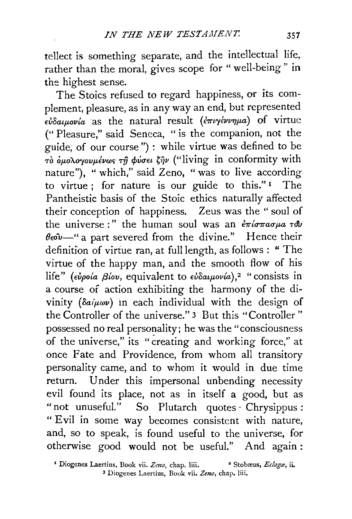tellect is something separate, and the intellectual life, rather than the moral, gives scope for " well-being" in the highest sense.

The Stoics refused to regard happiness, or its complement, pleasure, as in any way an end, but represented *d/oatftovta* as the natural result ( *f.mry€vv7Jfta)* of virtue (" Pleasure," said Seneca, " is the companion, not the guide; of our course") : while virtue was defined to be  $\overrightarrow{r}$  *ο <i>δμολογουμένως τῆ φύσει ζῆν* ("living in conformity with nature"), "which," said Zeno, "was to live according to virtue : for nature is our guide to this." $I$  The Pantheistic basis of the Stoic ethics naturally affected their conception of happiness. Zeus was the " soul of the universe :" the human soul was an  $\epsilon \pi i \sigma \pi \alpha \sigma \mu$   $\sigma \theta \nu$  $\theta e^{\theta}$  = " a part severed from the divine." Hence their definition of virtue ran, at full length, as follows : " The virtue of the happy man, and the smooth flow of his life" *(εὐροία βίου,* equivalent to *εὐδαιμονία*),<sup>2</sup> "consists in a course of action exhibiting the harmony of the divinity ( $\delta a/\mu \omega \nu$ ) in each individual with the design of the Controller of the universe." 3 But this "Controller" possessed no real personality; he was the "consciousness of the universe," its "creating and working force," at once Fate and Providence, from whom all transitory personality came, and to whom it would in due time return. Under this impersonal unbending necessity evil found its place, not as in itself a good, but as "not unuseful." So Plutarch quotes Chrysippus: "Evil in some way becomes consistent with nature, and, so to speak, is found useful to the universe, for otherwise good would not be useful." And again:

<sup>1</sup> Diogenes Laertius, Book vii. Zeno, chap. liii. <sup>•</sup> Stobæus, *Eclogæ*, ii. 3 Diogenes Laertius, Book vii. *Zeno,* chap. liii.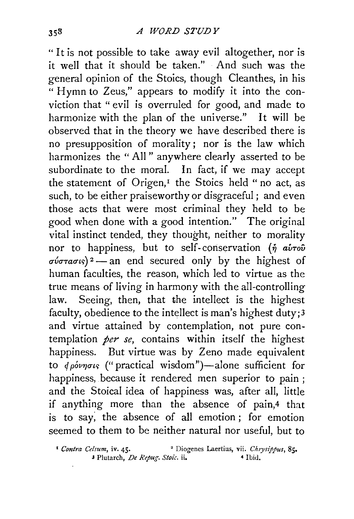"It is not possible to take away evil altogether, nor is it well that it should be taken." And such was the general opinion of the Stoics, though Cleanthes, in his " Hymn to Zeus," appears to modify it into the conviction that " evil is overruled for good, and made to harmonize with the plan of the universe." It will be observed that in the theory we have described there is no presupposition of morality; nor is the law which harmonizes the "All" anywhere clearly asserted to be subordinate to the moral. In fact, if we may accept the statement of Origen, $I$  the Stoics held "no act, as such, to be either praiseworthy or disgraceful; and even those acts that were most criminal they held to be good when done with a good intention." The original vital instinct tended, they thought, neither to morality nor to happiness, but to self-conservation ( $\eta$  avrov  $\sigma \nu \sigma \tau \alpha \sigma \nu s$ )<sup>2</sup> - an end secured only by the highest of human faculties, the reason, which led to virtue as the true means of living in harmony with the all-controlling law. Seeing, then, that the intellect is the highest faculty, obedience to the intellect is man's highest duty;3 and virtue attained by contemplation, not pure contemplation *per se*, contains within itself the highest happiness. But virtue was by Zeno made equivalent to *φρόνησι*ς ("practical wisdom")-alone sufficient for happiness, because it rendered men superior to pain ; and the Stoical idea of happiness was, after all, little if anything more than the absence of pain,4 that is to say; the absence of all emotion ; for emotion seemed to them to be neither natural nor useful, but to

<sup>&</sup>lt;sup>1</sup> Contra Celsum, iv. 45. <sup>2</sup> Diogenes Laertius, vii. *Chrysippus*, 85. 3 Plutarch, *De Repug. Stoic.* ii. 4 Ibid.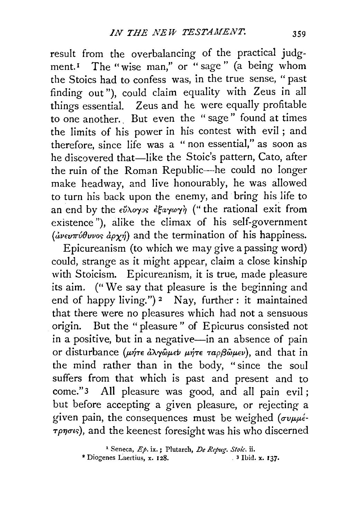result from the overbalancing of the practical judgment.<sup>1</sup> The "wise man," or "sage" (a being whom the Stoics had to confess was, in the true sense, "past finding out"), could claim equality with Zeus in all things essential. Zeus and he were equally profitable to one another.. But even the " sage" found at times the limits of his power in his contest with evil ; and therefore, since life was a " non essential," as soon as he discovered that-like the Stoic's pattern, Cato, after the ruin of the Roman Republic-he could no longer make headway, and live honourably, he was allowed to turn his back upon the enemy, and bring his life to an end by the  $\epsilon\tilde{\nu}\lambda o_{\gamma\gamma\delta}$   $\epsilon\xi a_{\gamma}\omega_{\gamma\gamma}$  ("the rational exit from existence "), alike the climax of his self-government  $(i\omega v\omega\pi\omega\theta\nu\nu\omega s \dot{\omega}\gamma\eta)$  and the termination of his happiness.

Epicureanism (to which we may give a passing word) could, strange as it might appear, claim a close kinship with Stoicism. Epicureanism, it is true, made pleasure its aim. ("We say that pleasure is the beginning and end of happy living.")<sup>2</sup> Nay, further: it maintained that there were no pleasures which had not a sensuous origin. But the " pleasure " of Epicurus consisted not in a positive, but in a negative-in an absence of pain Or disturbance (p.~T€ *aA.rywp.eiJ* IJ-~T€ *mpj3wp.ev),* and that in the mind rather than in the body, "since the soul suffers from that which is past and present and to come." 3 All pleasure was good, and all pain evil; but before accepting a given pleasure, or rejecting a given pain, the consequences must be weighed ( $\sigma v \mu \mu \acute{\epsilon}$ -*Tpnous*), and the keenest foresight was his who discerned

<sup>&</sup>lt;sup>1</sup> Seneca, *Ep.* ix.; Plutarch, *De Repug. Stoic.* ii.<br>
enes Laertius. x. 128. 3 Ibid. x. 137.

<sup>&</sup>lt;sup>2</sup> Diogenes Laertius, x. 128.